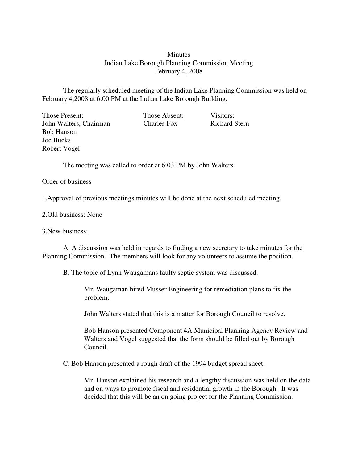## **Minutes** Indian Lake Borough Planning Commission Meeting February 4, 2008

The regularly scheduled meeting of the Indian Lake Planning Commission was held on February 4,2008 at 6:00 PM at the Indian Lake Borough Building.

Those Present: Those Absent: Visitors:<br>
John Walters. Chairman Charles Fox Richard Stern John Walters, Chairman Charles Fox Bob Hanson Joe Bucks Robert Vogel

The meeting was called to order at 6:03 PM by John Walters.

## Order of business

1.Approval of previous meetings minutes will be done at the next scheduled meeting.

## 2.Old business: None

3.New business:

A. A discussion was held in regards to finding a new secretary to take minutes for the Planning Commission. The members will look for any volunteers to assume the position.

B. The topic of Lynn Waugamans faulty septic system was discussed.

Mr. Waugaman hired Musser Engineering for remediation plans to fix the problem.

John Walters stated that this is a matter for Borough Council to resolve.

Bob Hanson presented Component 4A Municipal Planning Agency Review and Walters and Vogel suggested that the form should be filled out by Borough Council.

C. Bob Hanson presented a rough draft of the 1994 budget spread sheet.

Mr. Hanson explained his research and a lengthy discussion was held on the data and on ways to promote fiscal and residential growth in the Borough. It was decided that this will be an on going project for the Planning Commission.